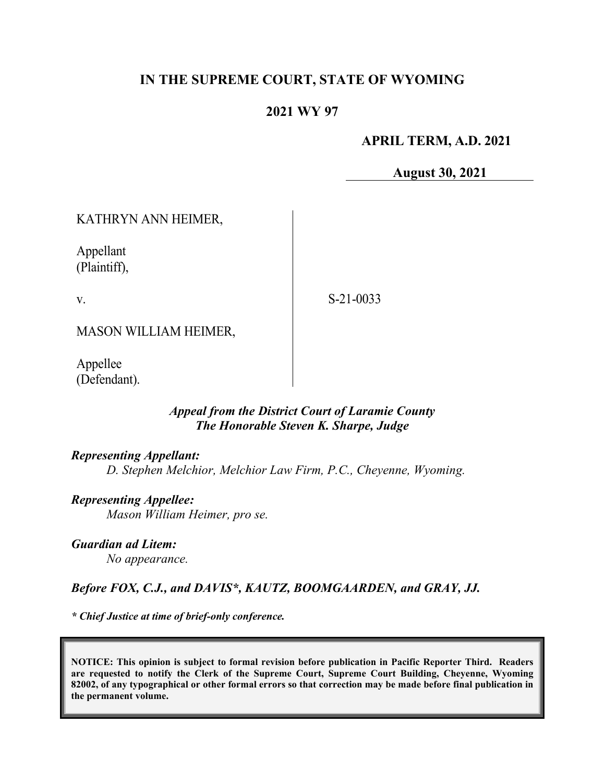# **IN THE SUPREME COURT, STATE OF WYOMING**

## **2021 WY 97**

### **APRIL TERM, A.D. 2021**

**August 30, 2021**

# KATHRYN ANN HEIMER,

Appellant (Plaintiff),

v.

S-21-0033

MASON WILLIAM HEIMER,

Appellee (Defendant).

## *Appeal from the District Court of Laramie County The Honorable Steven K. Sharpe, Judge*

#### *Representing Appellant:*

*D. Stephen Melchior, Melchior Law Firm, P.C., Cheyenne, Wyoming.* 

*Representing Appellee: Mason William Heimer, pro se.*

*Guardian ad Litem: No appearance.*

## *Before FOX, C.J., and DAVIS\*, KAUTZ, BOOMGAARDEN, and GRAY, JJ.*

*\* Chief Justice at time of brief-only conference.*

**NOTICE: This opinion is subject to formal revision before publication in Pacific Reporter Third. Readers are requested to notify the Clerk of the Supreme Court, Supreme Court Building, Cheyenne, Wyoming 82002, of any typographical or other formal errors so that correction may be made before final publication in the permanent volume.**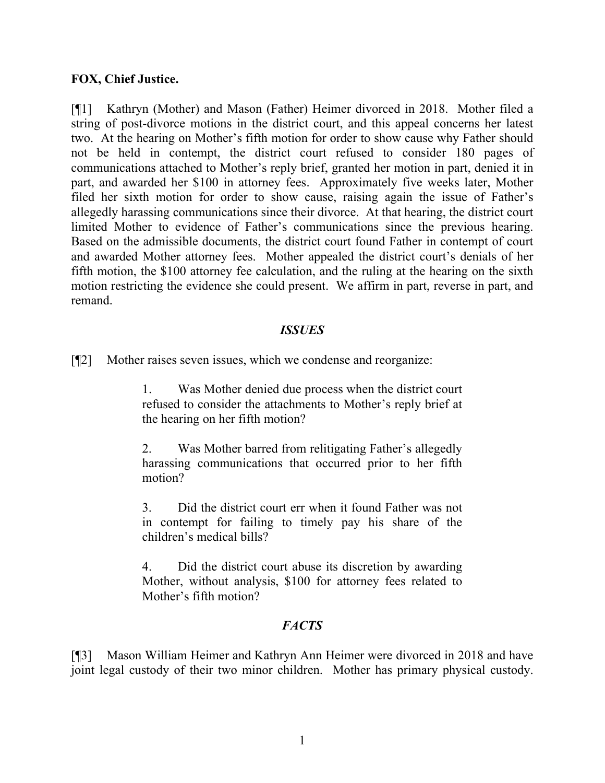### **FOX, Chief Justice.**

[¶1] Kathryn (Mother) and Mason (Father) Heimer divorced in 2018. Mother filed a string of post-divorce motions in the district court, and this appeal concerns her latest two. At the hearing on Mother's fifth motion for order to show cause why Father should not be held in contempt, the district court refused to consider 180 pages of communications attached to Mother's reply brief, granted her motion in part, denied it in part, and awarded her \$100 in attorney fees. Approximately five weeks later, Mother filed her sixth motion for order to show cause, raising again the issue of Father's allegedly harassing communications since their divorce. At that hearing, the district court limited Mother to evidence of Father's communications since the previous hearing. Based on the admissible documents, the district court found Father in contempt of court and awarded Mother attorney fees. Mother appealed the district court's denials of her fifth motion, the \$100 attorney fee calculation, and the ruling at the hearing on the sixth motion restricting the evidence she could present. We affirm in part, reverse in part, and remand.

#### *ISSUES*

[¶2] Mother raises seven issues, which we condense and reorganize:

1. Was Mother denied due process when the district court refused to consider the attachments to Mother's reply brief at the hearing on her fifth motion?

2. Was Mother barred from relitigating Father's allegedly harassing communications that occurred prior to her fifth motion?

3. Did the district court err when it found Father was not in contempt for failing to timely pay his share of the children's medical bills?

4. Did the district court abuse its discretion by awarding Mother, without analysis, \$100 for attorney fees related to Mother's fifth motion?

## *FACTS*

[¶3] Mason William Heimer and Kathryn Ann Heimer were divorced in 2018 and have joint legal custody of their two minor children. Mother has primary physical custody.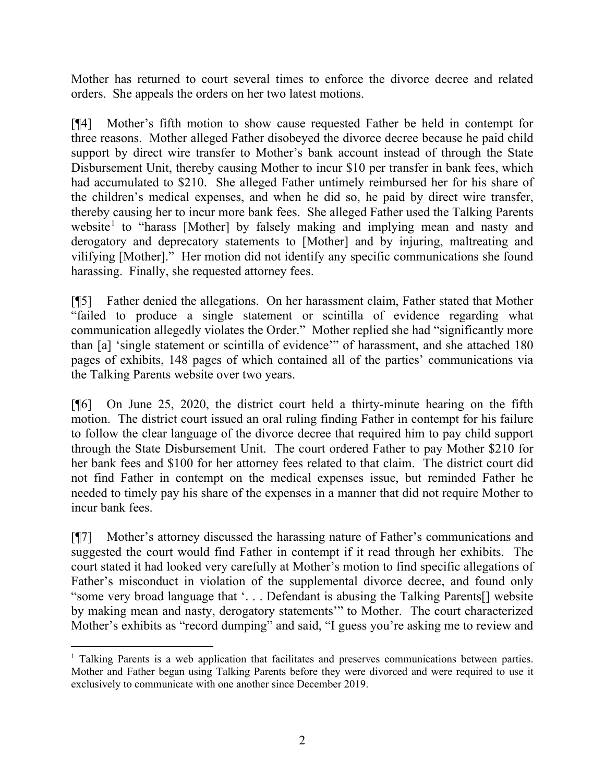Mother has returned to court several times to enforce the divorce decree and related orders. She appeals the orders on her two latest motions.

[¶4] Mother's fifth motion to show cause requested Father be held in contempt for three reasons. Mother alleged Father disobeyed the divorce decree because he paid child support by direct wire transfer to Mother's bank account instead of through the State Disbursement Unit, thereby causing Mother to incur \$10 per transfer in bank fees, which had accumulated to \$210. She alleged Father untimely reimbursed her for his share of the children's medical expenses, and when he did so, he paid by direct wire transfer, thereby causing her to incur more bank fees. She alleged Father used the Talking Parents website<sup>[1](#page-2-0)</sup> to "harass [Mother] by falsely making and implying mean and nasty and derogatory and deprecatory statements to [Mother] and by injuring, maltreating and vilifying [Mother]." Her motion did not identify any specific communications she found harassing. Finally, she requested attorney fees.

[¶5] Father denied the allegations. On her harassment claim, Father stated that Mother "failed to produce a single statement or scintilla of evidence regarding what communication allegedly violates the Order." Mother replied she had "significantly more than [a] 'single statement or scintilla of evidence'" of harassment, and she attached 180 pages of exhibits, 148 pages of which contained all of the parties' communications via the Talking Parents website over two years.

[¶6] On June 25, 2020, the district court held a thirty-minute hearing on the fifth motion. The district court issued an oral ruling finding Father in contempt for his failure to follow the clear language of the divorce decree that required him to pay child support through the State Disbursement Unit. The court ordered Father to pay Mother \$210 for her bank fees and \$100 for her attorney fees related to that claim. The district court did not find Father in contempt on the medical expenses issue, but reminded Father he needed to timely pay his share of the expenses in a manner that did not require Mother to incur bank fees.

[¶7] Mother's attorney discussed the harassing nature of Father's communications and suggested the court would find Father in contempt if it read through her exhibits. The court stated it had looked very carefully at Mother's motion to find specific allegations of Father's misconduct in violation of the supplemental divorce decree, and found only "some very broad language that '. . . Defendant is abusing the Talking Parents[] website by making mean and nasty, derogatory statements'" to Mother. The court characterized Mother's exhibits as "record dumping" and said, "I guess you're asking me to review and

<span id="page-2-0"></span> $1$  Talking Parents is a web application that facilitates and preserves communications between parties. Mother and Father began using Talking Parents before they were divorced and were required to use it exclusively to communicate with one another since December 2019.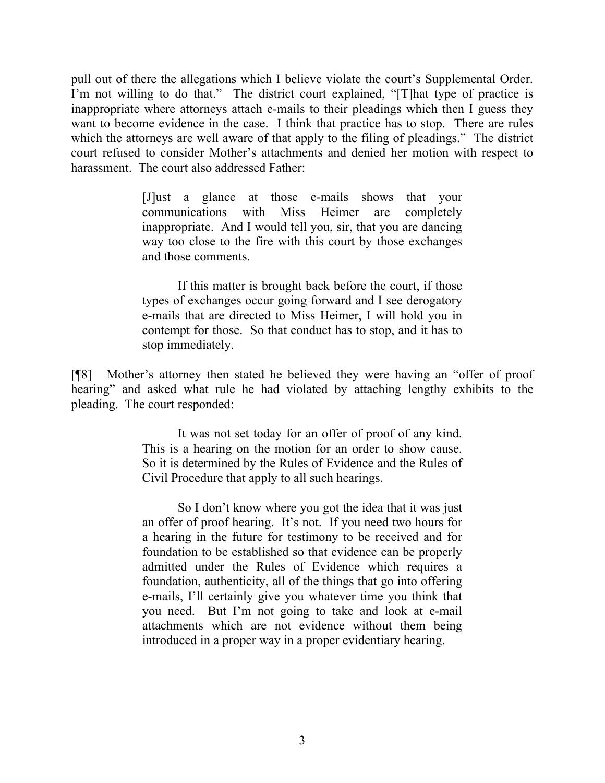pull out of there the allegations which I believe violate the court's Supplemental Order. I'm not willing to do that." The district court explained, "[T]hat type of practice is inappropriate where attorneys attach e-mails to their pleadings which then I guess they want to become evidence in the case. I think that practice has to stop. There are rules which the attorneys are well aware of that apply to the filing of pleadings." The district court refused to consider Mother's attachments and denied her motion with respect to harassment. The court also addressed Father:

> [J]ust a glance at those e-mails shows that your communications with Miss Heimer are completely inappropriate. And I would tell you, sir, that you are dancing way too close to the fire with this court by those exchanges and those comments.

> If this matter is brought back before the court, if those types of exchanges occur going forward and I see derogatory e-mails that are directed to Miss Heimer, I will hold you in contempt for those. So that conduct has to stop, and it has to stop immediately.

[¶8] Mother's attorney then stated he believed they were having an "offer of proof hearing" and asked what rule he had violated by attaching lengthy exhibits to the pleading. The court responded:

> It was not set today for an offer of proof of any kind. This is a hearing on the motion for an order to show cause. So it is determined by the Rules of Evidence and the Rules of Civil Procedure that apply to all such hearings.

> So I don't know where you got the idea that it was just an offer of proof hearing. It's not. If you need two hours for a hearing in the future for testimony to be received and for foundation to be established so that evidence can be properly admitted under the Rules of Evidence which requires a foundation, authenticity, all of the things that go into offering e-mails, I'll certainly give you whatever time you think that you need. But I'm not going to take and look at e-mail attachments which are not evidence without them being introduced in a proper way in a proper evidentiary hearing.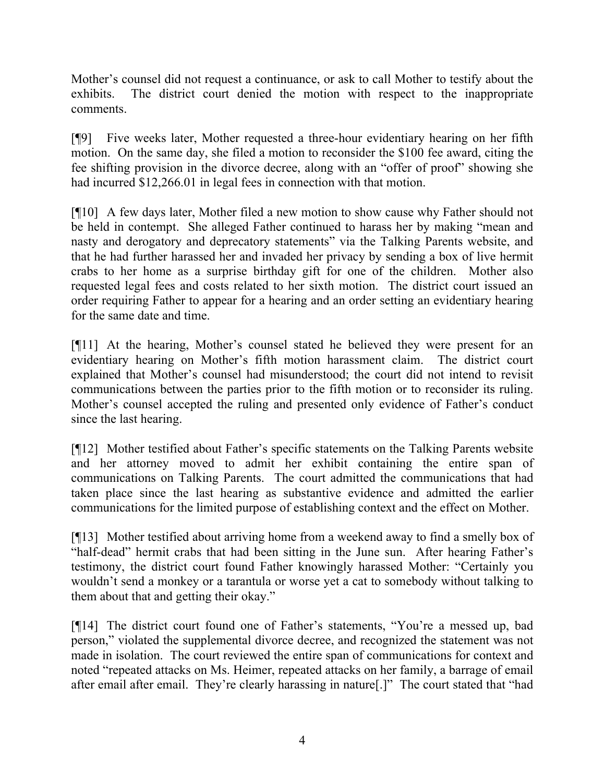Mother's counsel did not request a continuance, or ask to call Mother to testify about the exhibits. The district court denied the motion with respect to the inappropriate comments.

[¶9] Five weeks later, Mother requested a three-hour evidentiary hearing on her fifth motion. On the same day, she filed a motion to reconsider the \$100 fee award, citing the fee shifting provision in the divorce decree, along with an "offer of proof" showing she had incurred \$12,266.01 in legal fees in connection with that motion.

[¶10] A few days later, Mother filed a new motion to show cause why Father should not be held in contempt. She alleged Father continued to harass her by making "mean and nasty and derogatory and deprecatory statements" via the Talking Parents website, and that he had further harassed her and invaded her privacy by sending a box of live hermit crabs to her home as a surprise birthday gift for one of the children. Mother also requested legal fees and costs related to her sixth motion. The district court issued an order requiring Father to appear for a hearing and an order setting an evidentiary hearing for the same date and time.

[¶11] At the hearing, Mother's counsel stated he believed they were present for an evidentiary hearing on Mother's fifth motion harassment claim. The district court explained that Mother's counsel had misunderstood; the court did not intend to revisit communications between the parties prior to the fifth motion or to reconsider its ruling. Mother's counsel accepted the ruling and presented only evidence of Father's conduct since the last hearing.

[¶12] Mother testified about Father's specific statements on the Talking Parents website and her attorney moved to admit her exhibit containing the entire span of communications on Talking Parents. The court admitted the communications that had taken place since the last hearing as substantive evidence and admitted the earlier communications for the limited purpose of establishing context and the effect on Mother.

[¶13] Mother testified about arriving home from a weekend away to find a smelly box of "half-dead" hermit crabs that had been sitting in the June sun. After hearing Father's testimony, the district court found Father knowingly harassed Mother: "Certainly you wouldn't send a monkey or a tarantula or worse yet a cat to somebody without talking to them about that and getting their okay."

[¶14] The district court found one of Father's statements, "You're a messed up, bad person," violated the supplemental divorce decree, and recognized the statement was not made in isolation. The court reviewed the entire span of communications for context and noted "repeated attacks on Ms. Heimer, repeated attacks on her family, a barrage of email after email after email. They're clearly harassing in nature[.]" The court stated that "had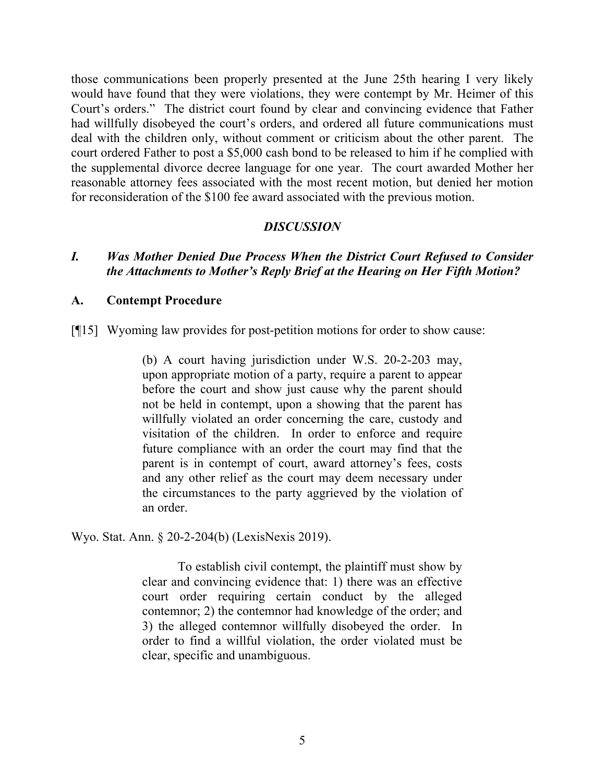those communications been properly presented at the June 25th hearing I very likely would have found that they were violations, they were contempt by Mr. Heimer of this Court's orders." The district court found by clear and convincing evidence that Father had willfully disobeyed the court's orders, and ordered all future communications must deal with the children only, without comment or criticism about the other parent. The court ordered Father to post a \$5,000 cash bond to be released to him if he complied with the supplemental divorce decree language for one year. The court awarded Mother her reasonable attorney fees associated with the most recent motion, but denied her motion for reconsideration of the \$100 fee award associated with the previous motion.

### *DISCUSSION*

## *I. Was Mother Denied Due Process When the District Court Refused to Consider the Attachments to Mother's Reply Brief at the Hearing on Her Fifth Motion?*

#### **A. Contempt Procedure**

[¶15] Wyoming law provides for post-petition motions for order to show cause:

(b) A court having jurisdiction under W.S. 20-2-203 may, upon appropriate motion of a party, require a parent to appear before the court and show just cause why the parent should not be held in contempt, upon a showing that the parent has willfully violated an order concerning the care, custody and visitation of the children. In order to enforce and require future compliance with an order the court may find that the parent is in contempt of court, award attorney's fees, costs and any other relief as the court may deem necessary under the circumstances to the party aggrieved by the violation of an order.

Wyo. Stat. Ann. § 20-2-204(b) (LexisNexis 2019).

To establish civil contempt, the plaintiff must show by clear and convincing evidence that: 1) there was an effective court order requiring certain conduct by the alleged contemnor; 2) the contemnor had knowledge of the order; and 3) the alleged contemnor willfully disobeyed the order. In order to find a willful violation, the order violated must be clear, specific and unambiguous.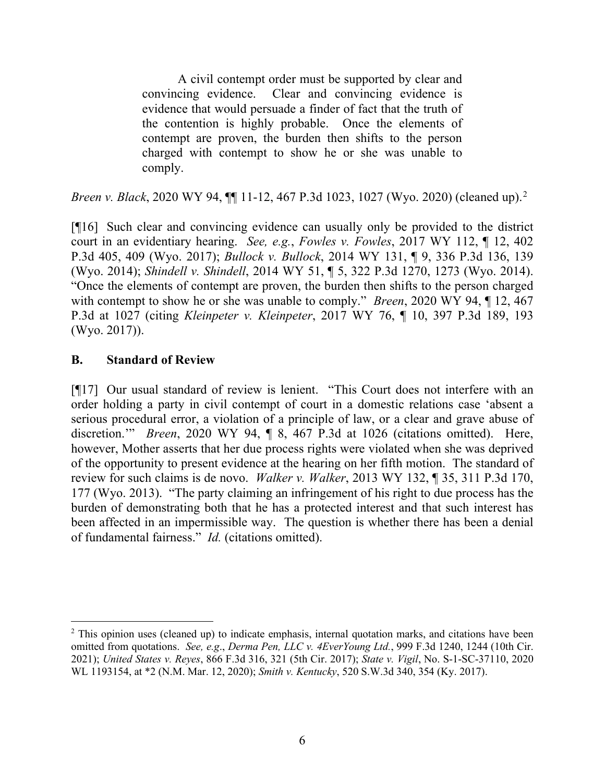A civil contempt order must be supported by clear and convincing evidence. Clear and convincing evidence is evidence that would persuade a finder of fact that the truth of the contention is highly probable. Once the elements of contempt are proven, the burden then shifts to the person charged with contempt to show he or she was unable to comply.

*Breen v. Black*, [2](#page-6-0)020 WY 94,  $\P$ [11-12, 467 P.3d 1023, 1027 (Wyo. 2020) (cleaned up).<sup>2</sup>

[¶16] Such clear and convincing evidence can usually only be provided to the district court in an evidentiary hearing. *See, e.g.*, *Fowles v. Fowles*, 2017 WY 112, ¶ 12, 402 P.3d 405, 409 (Wyo. 2017); *Bullock v. Bullock*, 2014 WY 131, ¶ 9, 336 P.3d 136, 139 (Wyo. 2014); *Shindell v. Shindell*, 2014 WY 51, ¶ 5, 322 P.3d 1270, 1273 (Wyo. 2014). "Once the elements of contempt are proven, the burden then shifts to the person charged with contempt to show he or she was unable to comply." *Breen*, 2020 WY 94, ¶ 12, 467 P.3d at 1027 (citing *Kleinpeter v. Kleinpeter*, 2017 WY 76, ¶ 10, 397 P.3d 189, 193 (Wyo. 2017)).

## **B. Standard of Review**

[¶17] Our usual standard of review is lenient. "This Court does not interfere with an order holding a party in civil contempt of court in a domestic relations case 'absent a serious procedural error, a violation of a principle of law, or a clear and grave abuse of discretion.'" *Breen*, 2020 WY 94, ¶ 8, 467 P.3d at 1026 (citations omitted). Here, however, Mother asserts that her due process rights were violated when she was deprived of the opportunity to present evidence at the hearing on her fifth motion. The standard of review for such claims is de novo. *Walker v. Walker*, 2013 WY 132, ¶ 35, 311 P.3d 170, 177 (Wyo. 2013). "The party claiming an infringement of his right to due process has the burden of demonstrating both that he has a protected interest and that such interest has been affected in an impermissible way. The question is whether there has been a denial of fundamental fairness." *Id.* (citations omitted).

<span id="page-6-0"></span><sup>&</sup>lt;sup>2</sup> This opinion uses (cleaned up) to indicate emphasis, internal quotation marks, and citations have been omitted from quotations. *See, e.g*., *Derma Pen, LLC v. 4EverYoung Ltd.*, 999 F.3d 1240, 1244 (10th Cir. 2021); *United States v. Reyes*, 866 F.3d 316, 321 (5th Cir. 2017); *State v. Vigil*, No. S-1-SC-37110, 2020 WL 1193154, at \*2 (N.M. Mar. 12, 2020); *Smith v. Kentucky*, 520 S.W.3d 340, 354 (Ky. 2017).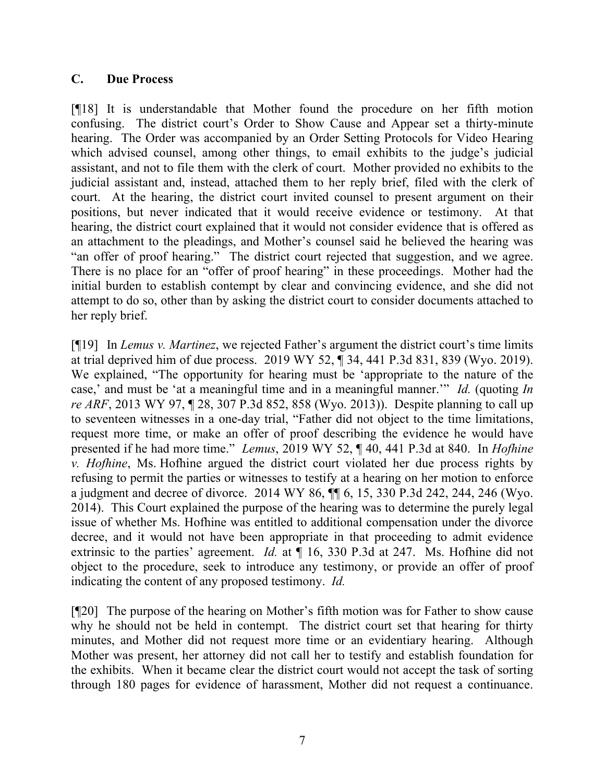### **C. Due Process**

[¶18] It is understandable that Mother found the procedure on her fifth motion confusing. The district court's Order to Show Cause and Appear set a thirty-minute hearing. The Order was accompanied by an Order Setting Protocols for Video Hearing which advised counsel, among other things, to email exhibits to the judge's judicial assistant, and not to file them with the clerk of court. Mother provided no exhibits to the judicial assistant and, instead, attached them to her reply brief, filed with the clerk of court. At the hearing, the district court invited counsel to present argument on their positions, but never indicated that it would receive evidence or testimony. At that hearing, the district court explained that it would not consider evidence that is offered as an attachment to the pleadings, and Mother's counsel said he believed the hearing was "an offer of proof hearing." The district court rejected that suggestion, and we agree. There is no place for an "offer of proof hearing" in these proceedings. Mother had the initial burden to establish contempt by clear and convincing evidence, and she did not attempt to do so, other than by asking the district court to consider documents attached to her reply brief.

[¶19] In *Lemus v. Martinez*, we rejected Father's argument the district court's time limits at trial deprived him of due process. 2019 WY 52, ¶ 34, 441 P.3d 831, 839 (Wyo. 2019). We explained, "The opportunity for hearing must be 'appropriate to the nature of the case,' and must be 'at a meaningful time and in a meaningful manner.'" *Id.* (quoting *In re ARF*, 2013 WY 97, ¶ 28, 307 P.3d 852, 858 (Wyo. 2013)). Despite planning to call up to seventeen witnesses in a one-day trial, "Father did not object to the time limitations, request more time, or make an offer of proof describing the evidence he would have presented if he had more time." *Lemus*, 2019 WY 52, ¶ 40, 441 P.3d at 840. In *Hofhine v. Hofhine*, Ms. Hofhine argued the district court violated her due process rights by refusing to permit the parties or witnesses to testify at a hearing on her motion to enforce a judgment and decree of divorce. 2014 WY 86, ¶¶ 6, 15, 330 P.3d 242, 244, 246 (Wyo. 2014). This Court explained the purpose of the hearing was to determine the purely legal issue of whether Ms. Hofhine was entitled to additional compensation under the divorce decree, and it would not have been appropriate in that proceeding to admit evidence extrinsic to the parties' agreement. *Id.* at ¶ 16, 330 P.3d at 247. Ms. Hofhine did not object to the procedure, seek to introduce any testimony, or provide an offer of proof indicating the content of any proposed testimony. *Id.*

[¶20] The purpose of the hearing on Mother's fifth motion was for Father to show cause why he should not be held in contempt. The district court set that hearing for thirty minutes, and Mother did not request more time or an evidentiary hearing. Although Mother was present, her attorney did not call her to testify and establish foundation for the exhibits. When it became clear the district court would not accept the task of sorting through 180 pages for evidence of harassment, Mother did not request a continuance.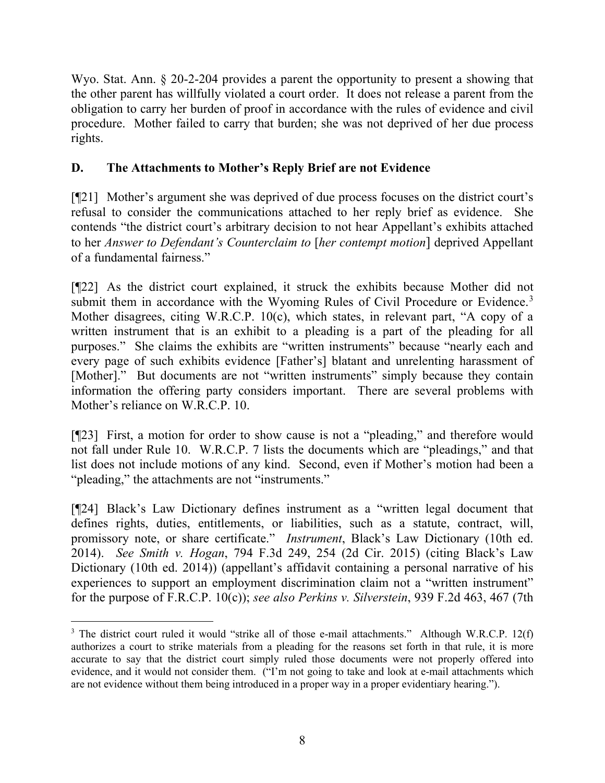Wyo. Stat. Ann. § 20-2-204 provides a parent the opportunity to present a showing that the other parent has willfully violated a court order. It does not release a parent from the obligation to carry her burden of proof in accordance with the rules of evidence and civil procedure. Mother failed to carry that burden; she was not deprived of her due process rights.

# **D. The Attachments to Mother's Reply Brief are not Evidence**

[¶21] Mother's argument she was deprived of due process focuses on the district court's refusal to consider the communications attached to her reply brief as evidence. She contends "the district court's arbitrary decision to not hear Appellant's exhibits attached to her *Answer to Defendant's Counterclaim to* [*her contempt motion*] deprived Appellant of a fundamental fairness."

[¶22] As the district court explained, it struck the exhibits because Mother did not submit them in accordance with the Wyoming Rules of Civil Procedure or Evidence.<sup>[3](#page-8-0)</sup> Mother disagrees, citing W.R.C.P. 10(c), which states, in relevant part, "A copy of a written instrument that is an exhibit to a pleading is a part of the pleading for all purposes." She claims the exhibits are "written instruments" because "nearly each and every page of such exhibits evidence [Father's] blatant and unrelenting harassment of [Mother]." But documents are not "written instruments" simply because they contain information the offering party considers important. There are several problems with Mother's reliance on W.R.C.P. 10.

[¶23] First, a motion for order to show cause is not a "pleading," and therefore would not fall under Rule 10. W.R.C.P. 7 lists the documents which are "pleadings," and that list does not include motions of any kind. Second, even if Mother's motion had been a "pleading," the attachments are not "instruments."

[¶24] Black's Law Dictionary defines instrument as a "written legal document that defines rights, duties, entitlements, or liabilities, such as a statute, contract, will, promissory note, or share certificate." *Instrument*, Black's Law Dictionary (10th ed. 2014). *See Smith v. Hogan*, 794 F.3d 249, 254 (2d Cir. 2015) (citing Black's Law Dictionary (10th ed. 2014)) (appellant's affidavit containing a personal narrative of his experiences to support an employment discrimination claim not a "written instrument" for the purpose of F.R.C.P. 10(c)); *see also Perkins v. Silverstein*, 939 F.2d 463, 467 (7th

<span id="page-8-0"></span><sup>&</sup>lt;sup>3</sup> The district court ruled it would "strike all of those e-mail attachments." Although W.R.C.P. 12(f) authorizes a court to strike materials from a pleading for the reasons set forth in that rule, it is more accurate to say that the district court simply ruled those documents were not properly offered into evidence, and it would not consider them. ("I'm not going to take and look at e-mail attachments which are not evidence without them being introduced in a proper way in a proper evidentiary hearing.").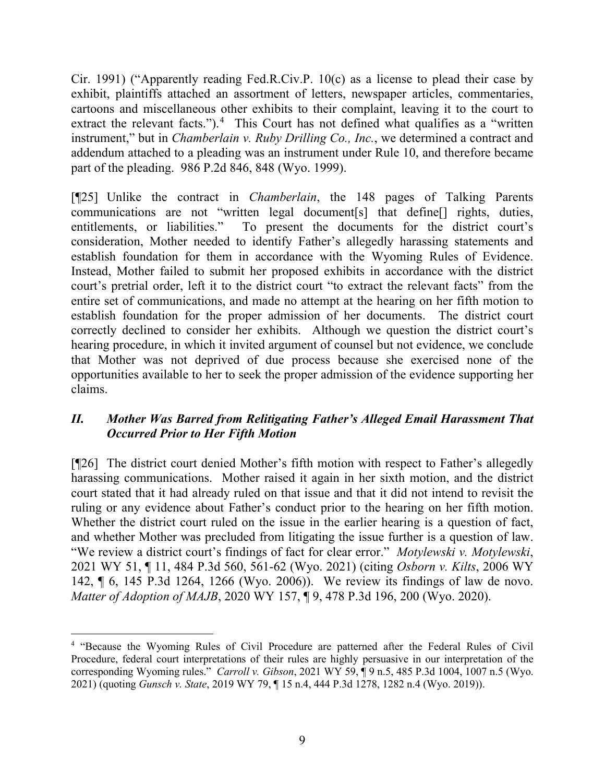Cir. 1991) ("Apparently reading Fed.R.Civ.P. 10(c) as a license to plead their case by exhibit, plaintiffs attached an assortment of letters, newspaper articles, commentaries, cartoons and miscellaneous other exhibits to their complaint, leaving it to the court to extract the relevant facts.").<sup>[4](#page-9-0)</sup> This Court has not defined what qualifies as a "written" instrument," but in *Chamberlain v. Ruby Drilling Co., Inc.*, we determined a contract and addendum attached to a pleading was an instrument under Rule 10, and therefore became part of the pleading. 986 P.2d 846, 848 (Wyo. 1999).

[¶25] Unlike the contract in *Chamberlain*, the 148 pages of Talking Parents communications are not "written legal document[s] that define[] rights, duties, entitlements, or liabilities." To present the documents for the district court's consideration, Mother needed to identify Father's allegedly harassing statements and establish foundation for them in accordance with the Wyoming Rules of Evidence. Instead, Mother failed to submit her proposed exhibits in accordance with the district court's pretrial order, left it to the district court "to extract the relevant facts" from the entire set of communications, and made no attempt at the hearing on her fifth motion to establish foundation for the proper admission of her documents. The district court correctly declined to consider her exhibits. Although we question the district court's hearing procedure, in which it invited argument of counsel but not evidence, we conclude that Mother was not deprived of due process because she exercised none of the opportunities available to her to seek the proper admission of the evidence supporting her claims.

## *II. Mother Was Barred from Relitigating Father's Alleged Email Harassment That Occurred Prior to Her Fifth Motion*

[¶26] The district court denied Mother's fifth motion with respect to Father's allegedly harassing communications. Mother raised it again in her sixth motion, and the district court stated that it had already ruled on that issue and that it did not intend to revisit the ruling or any evidence about Father's conduct prior to the hearing on her fifth motion. Whether the district court ruled on the issue in the earlier hearing is a question of fact, and whether Mother was precluded from litigating the issue further is a question of law. "We review a district court's findings of fact for clear error." *Motylewski v. Motylewski*, 2021 WY 51, ¶ 11, 484 P.3d 560, 561-62 (Wyo. 2021) (citing *Osborn v. Kilts*, 2006 WY 142, ¶ 6, 145 P.3d 1264, 1266 (Wyo. 2006)). We review its findings of law de novo. *Matter of Adoption of MAJB*, 2020 WY 157, ¶ 9, 478 P.3d 196, 200 (Wyo. 2020).

<span id="page-9-0"></span><sup>&</sup>lt;sup>4</sup> "Because the Wyoming Rules of Civil Procedure are patterned after the Federal Rules of Civil Procedure, federal court interpretations of their rules are highly persuasive in our interpretation of the corresponding Wyoming rules." *Carroll v. Gibson*, 2021 WY 59, ¶ 9 n.5, 485 P.3d 1004, 1007 n.5 (Wyo. 2021) (quoting *Gunsch v. State*, 2019 WY 79, ¶ 15 n.4, 444 P.3d 1278, 1282 n.4 (Wyo. 2019)).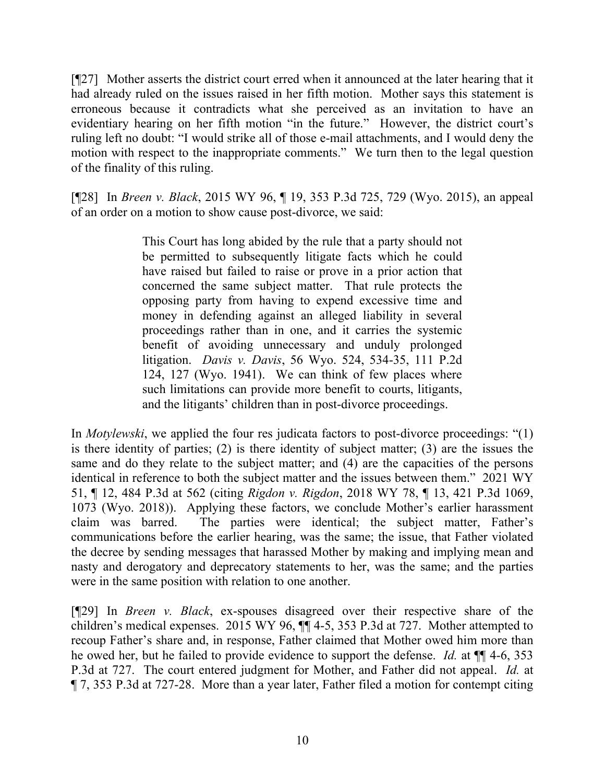[¶27] Mother asserts the district court erred when it announced at the later hearing that it had already ruled on the issues raised in her fifth motion. Mother says this statement is erroneous because it contradicts what she perceived as an invitation to have an evidentiary hearing on her fifth motion "in the future." However, the district court's ruling left no doubt: "I would strike all of those e-mail attachments, and I would deny the motion with respect to the inappropriate comments." We turn then to the legal question of the finality of this ruling.

[¶28] In *Breen v. Black*, 2015 WY 96, ¶ 19, 353 P.3d 725, 729 (Wyo. 2015), an appeal of an order on a motion to show cause post-divorce, we said:

> This Court has long abided by the rule that a party should not be permitted to subsequently litigate facts which he could have raised but failed to raise or prove in a prior action that concerned the same subject matter. That rule protects the opposing party from having to expend excessive time and money in defending against an alleged liability in several proceedings rather than in one, and it carries the systemic benefit of avoiding unnecessary and unduly prolonged litigation. *Davis v. Davis*, 56 Wyo. 524, 534-35, 111 P.2d 124, 127 (Wyo. 1941). We can think of few places where such limitations can provide more benefit to courts, litigants, and the litigants' children than in post-divorce proceedings.

In *Motylewski*, we applied the four res judicata factors to post-divorce proceedings: "(1) is there identity of parties; (2) is there identity of subject matter; (3) are the issues the same and do they relate to the subject matter; and (4) are the capacities of the persons identical in reference to both the subject matter and the issues between them." 2021 WY 51, ¶ 12, 484 P.3d at 562 (citing *Rigdon v. Rigdon*, 2018 WY 78, ¶ 13, 421 P.3d 1069, 1073 (Wyo. 2018)). Applying these factors, we conclude Mother's earlier harassment claim was barred. The parties were identical; the subject matter, Father's communications before the earlier hearing, was the same; the issue, that Father violated the decree by sending messages that harassed Mother by making and implying mean and nasty and derogatory and deprecatory statements to her, was the same; and the parties were in the same position with relation to one another.

[¶29] In *Breen v. Black*, ex-spouses disagreed over their respective share of the children's medical expenses. 2015 WY 96, ¶¶ 4-5, 353 P.3d at 727. Mother attempted to recoup Father's share and, in response, Father claimed that Mother owed him more than he owed her, but he failed to provide evidence to support the defense. *Id.* at ¶¶ 4-6, 353 P.3d at 727. The court entered judgment for Mother, and Father did not appeal. *Id.* at ¶ 7, 353 P.3d at 727-28. More than a year later, Father filed a motion for contempt citing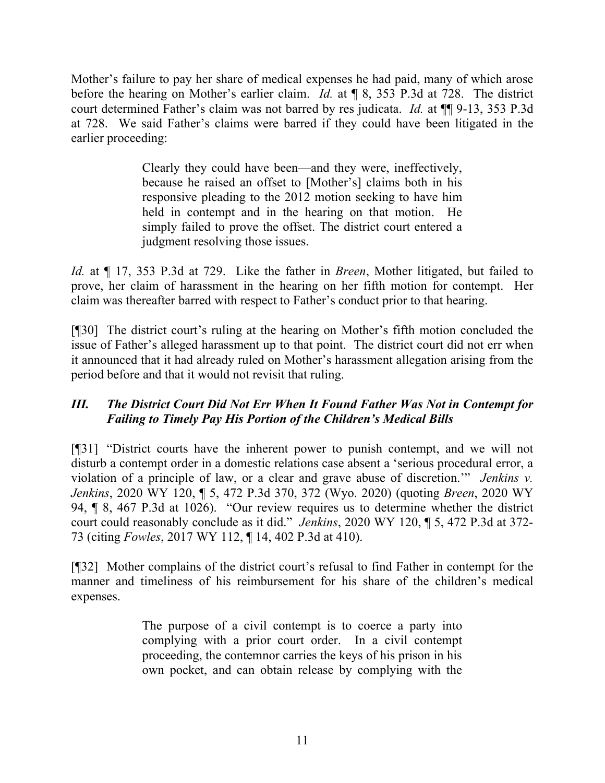Mother's failure to pay her share of medical expenses he had paid, many of which arose before the hearing on Mother's earlier claim. *Id.* at ¶ 8, 353 P.3d at 728. The district court determined Father's claim was not barred by res judicata. *Id.* at ¶¶ 9-13, 353 P.3d at 728. We said Father's claims were barred if they could have been litigated in the earlier proceeding:

> Clearly they could have been—and they were, ineffectively, because he raised an offset to [Mother's] claims both in his responsive pleading to the 2012 motion seeking to have him held in contempt and in the hearing on that motion. He simply failed to prove the offset. The district court entered a judgment resolving those issues.

*Id.* at ¶ 17, 353 P.3d at 729. Like the father in *Breen*, Mother litigated, but failed to prove, her claim of harassment in the hearing on her fifth motion for contempt. Her claim was thereafter barred with respect to Father's conduct prior to that hearing.

[¶30] The district court's ruling at the hearing on Mother's fifth motion concluded the issue of Father's alleged harassment up to that point. The district court did not err when it announced that it had already ruled on Mother's harassment allegation arising from the period before and that it would not revisit that ruling.

# *III. The District Court Did Not Err When It Found Father Was Not in Contempt for Failing to Timely Pay His Portion of the Children's Medical Bills*

[¶31] "District courts have the inherent power to punish contempt, and we will not disturb a contempt order in a domestic relations case absent a 'serious procedural error, a violation of a principle of law, or a clear and grave abuse of discretion.'" *Jenkins v. Jenkins*, 2020 WY 120, ¶ 5, 472 P.3d 370, 372 (Wyo. 2020) (quoting *Breen*, 2020 WY 94, ¶ 8, 467 P.3d at 1026). "Our review requires us to determine whether the district court could reasonably conclude as it did." *Jenkins*, 2020 WY 120, ¶ 5, 472 P.3d at 372- 73 (citing *Fowles*, 2017 WY 112, ¶ 14, 402 P.3d at 410).

[¶32] Mother complains of the district court's refusal to find Father in contempt for the manner and timeliness of his reimbursement for his share of the children's medical expenses.

> The purpose of a civil contempt is to coerce a party into complying with a prior court order. In a civil contempt proceeding, the contemnor carries the keys of his prison in his own pocket, and can obtain release by complying with the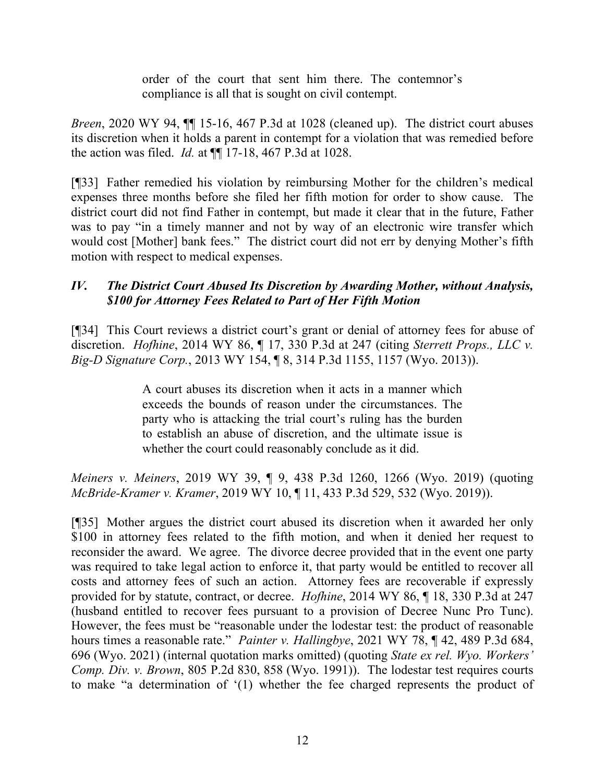order of the court that sent him there. The contemnor's compliance is all that is sought on civil contempt.

*Breen*, 2020 WY 94,  $\P$  15-16, 467 P.3d at 1028 (cleaned up). The district court abuses its discretion when it holds a parent in contempt for a violation that was remedied before the action was filed. *Id.* at ¶¶ 17-18, 467 P.3d at 1028.

[¶33] Father remedied his violation by reimbursing Mother for the children's medical expenses three months before she filed her fifth motion for order to show cause. The district court did not find Father in contempt, but made it clear that in the future, Father was to pay "in a timely manner and not by way of an electronic wire transfer which would cost [Mother] bank fees." The district court did not err by denying Mother's fifth motion with respect to medical expenses.

## *IV. The District Court Abused Its Discretion by Awarding Mother, without Analysis, \$100 for Attorney Fees Related to Part of Her Fifth Motion*

[¶34] This Court reviews a district court's grant or denial of attorney fees for abuse of discretion. *Hofhine*, 2014 WY 86, ¶ 17, 330 P.3d at 247 (citing *Sterrett Props., LLC v. Big-D Signature Corp.*, 2013 WY 154, ¶ 8, 314 P.3d 1155, 1157 (Wyo. 2013)).

> A court abuses its discretion when it acts in a manner which exceeds the bounds of reason under the circumstances. The party who is attacking the trial court's ruling has the burden to establish an abuse of discretion, and the ultimate issue is whether the court could reasonably conclude as it did.

*Meiners v. Meiners*, 2019 WY 39, ¶ 9, 438 P.3d 1260, 1266 (Wyo. 2019) (quoting *McBride-Kramer v. Kramer*, 2019 WY 10, ¶ 11, 433 P.3d 529, 532 (Wyo. 2019)).

[¶35] Mother argues the district court abused its discretion when it awarded her only \$100 in attorney fees related to the fifth motion, and when it denied her request to reconsider the award. We agree. The divorce decree provided that in the event one party was required to take legal action to enforce it, that party would be entitled to recover all costs and attorney fees of such an action. Attorney fees are recoverable if expressly provided for by statute, contract, or decree. *Hofhine*, 2014 WY 86, ¶ 18, 330 P.3d at 247 (husband entitled to recover fees pursuant to a provision of Decree Nunc Pro Tunc). However, the fees must be "reasonable under the lodestar test: the product of reasonable hours times a reasonable rate." *Painter v. Hallingbye*, 2021 WY 78, ¶ 42, 489 P.3d 684, 696 (Wyo. 2021) (internal quotation marks omitted) (quoting *State ex rel. Wyo. Workers' Comp. Div. v. Brown*, 805 P.2d 830, 858 (Wyo. 1991)). The lodestar test requires courts to make "a determination of '(1) whether the fee charged represents the product of